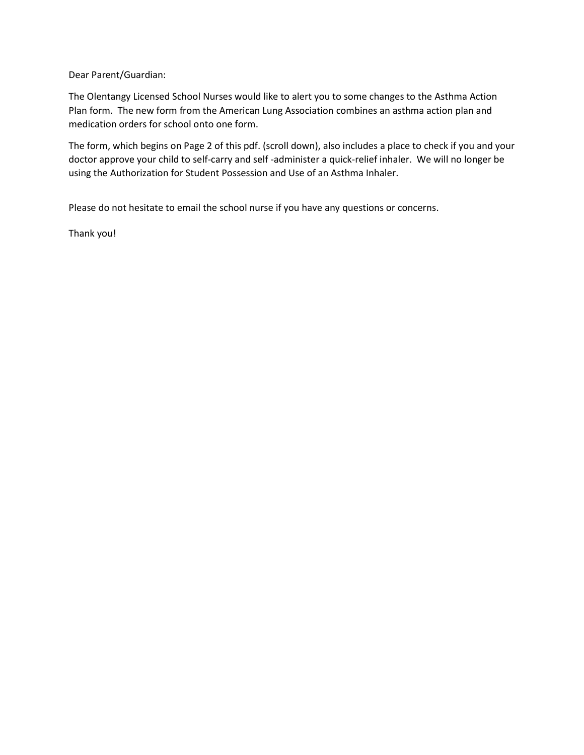Dear Parent/Guardian:

The Olentangy Licensed School Nurses would like to alert you to some changes to the Asthma Action Plan form. The new form from the American Lung Association combines an asthma action plan and medication orders for school onto one form.

The form, which begins on Page 2 of this pdf. (scroll down), also includes a place to check if you and your doctor approve your child to self-carry and self -administer a quick-relief inhaler. We will no longer be using the Authorization for Student Possession and Use of an Asthma Inhaler.

Please do not hesitate to email the school nurse if you have any questions or concerns.

Thank you!